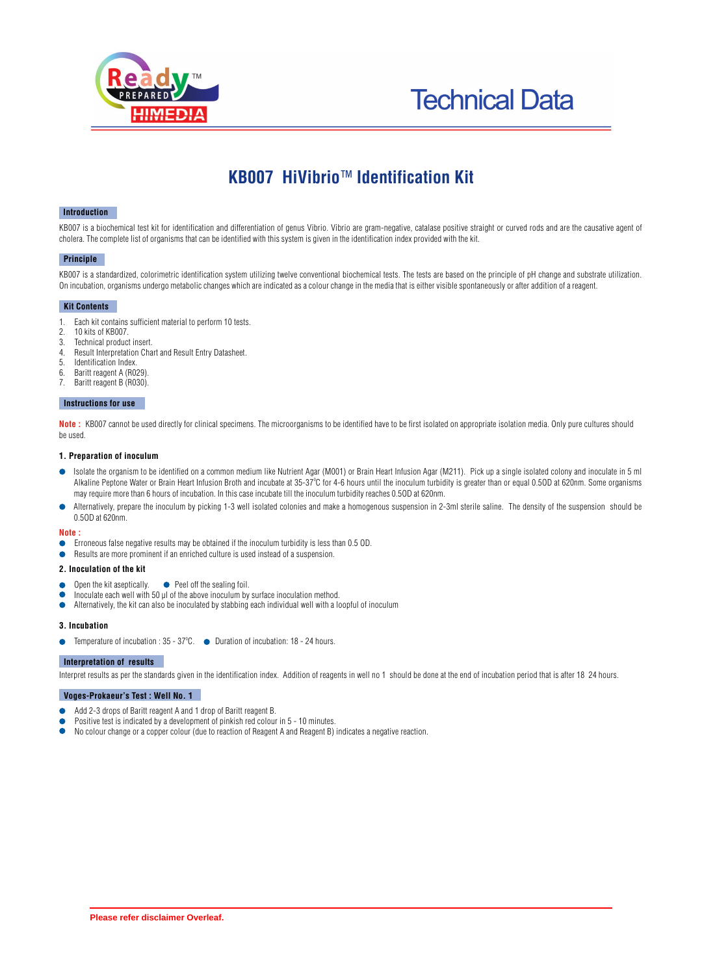



# **KB007 HiVibrio**™ **Identification Kit**

#### **Introduction**

KB007 is a biochemical test kit for identification and differentiation of genus Vibrio. Vibrio are gram-negative, catalase positive straight or curved rods and are the causative agent of cholera. The complete list of organisms that can be identified with this system is given in the identification index provided with the kit.

#### **Principle**

KB007 is a standardized, colorimetric identification system utilizing twelve conventional biochemical tests. The tests are based on the principle of pH change and substrate utilization. On incubation, organisms undergo metabolic changes which are indicated as a colour change in the media that is either visible spontaneously or after addition of a reagent.

#### **Kit Contents**

- 1. Each kit contains sufficient material to perform 10 tests.
- 2. 10 kits of KB007.
- Technical product insert.
- 4. Result Interpretation Chart and Result Entry Datasheet.
- Identification Index.
- 6. Baritt reagent A (R029).
- Baritt reagent B (R030).

#### l  **Instructions for use**

**Note** : KB007 cannot be used directly for clinical specimens. The microorganisms to be identified have to be first isolated on appropriate isolation media. Only pure cultures should be used.

#### **1. Preparation of inoculum**

- Isolate the organism to be identified on a common medium like Nutrient Agar (M001) or Brain Heart Infusion Agar (M211). Pick up a single isolated colony and inoculate in 5 ml Alkaline Peptone Water or Brain Heart Infusion Broth and incubate at 35-37°C for 4-6 hours until the inoculum turbidity is greater than or equal 0.50D at 620nm. Some organisms may require more than 6 hours of incubation. In this case incubate till the inoculum turbidity reaches 0.5OD at 620nm.
- Alternatively, prepare the inoculum by picking 1-3 well isolated colonies and make a homogenous suspension in 2-3ml sterile saline. The density of the suspension should be 0.5OD at 620nm.

#### **Note :**

- Erroneous false negative results may be obtained if the inoculum turbidity is less than 0.5 OD.
- Results are more prominent if an enriched culture is used instead of a suspension.

#### **2. Inoculation of the kit**

- Open the kit aseptically.  $\bullet$  Peel off the sealing foil.
- Inoculate each well with 50 µl of the above inoculum by surface inoculation method.
- $\bullet$ Alternatively, the kit can also be inoculated by stabbing each individual well with a loopful of inoculum

#### **3. Incubation**

Temperature of incubation :  $35 - 37^{\circ}$ C.  $\bullet$  Duration of incubation: 18 - 24 hours.

#### **Interpretation of results**

Interpret results as per the standards given in the identification index. Addition of reagents in well no 1 should be done at the end of incubation period that is after 18 24 hours.

### **Voges-Prokaeur's Test : Well No. 1**

- Add 2-3 drops of Baritt reagent A and 1 drop of Baritt reagent B.  $\bullet$
- Positive test is indicated by a development of pinkish red colour in 5 10 minutes.
- $\bullet$ No colour change or a copper colour (due to reaction of Reagent A and Reagent B) indicates a negative reaction.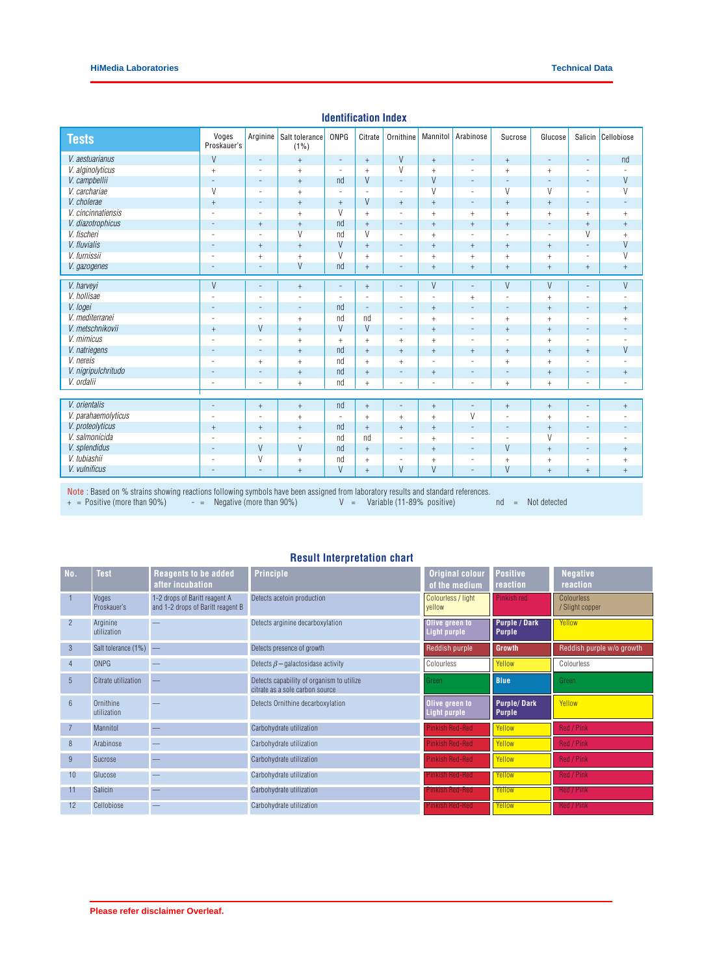| <b>Tests</b>        | Voges<br>Proskauer's     | Arginine                 | Salt tolerance<br>$(1\%)$ | ONPG                     | Citrate                          | Ornithine                | Mannitol                         | Arabinose                        | Sucrose                          | Glucose                          | Salicin                  | Cellobiose               |
|---------------------|--------------------------|--------------------------|---------------------------|--------------------------|----------------------------------|--------------------------|----------------------------------|----------------------------------|----------------------------------|----------------------------------|--------------------------|--------------------------|
| V. aestuarianus     | $\vee$                   | $\sim$                   | $\, +$                    | $\overline{\phantom{a}}$ | $\begin{array}{c} + \end{array}$ | $\vee$                   | $^+$                             | $\equiv$                         | $\, +$                           | $\equiv$                         | $\overline{\phantom{a}}$ | nd                       |
| V. alginolyticus    | $\ddot{}$                | $\sim$                   | $+$                       | $\equiv$                 | $+$                              | $\vee$                   | $+$                              | $\sim$                           | $+$                              | $+$                              | $\overline{\phantom{a}}$ |                          |
| V. campbellii       | $\overline{\phantom{a}}$ | $\overline{\phantom{a}}$ | $+$                       | nd                       | V                                | $\equiv$                 | $\vee$                           | $\overline{\phantom{a}}$         | $\overline{\phantom{a}}$         | $\overline{a}$                   | $\overline{\phantom{a}}$ | $\vee$                   |
| V. carchariae       | $\vee$                   | $\overline{\phantom{a}}$ | $+$                       | $\equiv$                 | $\overline{a}$                   | $\overline{\phantom{a}}$ | $\overline{V}$                   | $\sim$                           | $\vee$                           | $\vee$                           | $\overline{\phantom{a}}$ | $\vee$                   |
| V. cholerae         | $+$                      | $\overline{a}$           | $^{+}$                    | $^{+}$                   | V                                | $+$                      | $\begin{array}{c} + \end{array}$ | $\overline{\phantom{a}}$         | $\ddot{}$                        | $+$                              | $\overline{\phantom{a}}$ | $\overline{\phantom{a}}$ |
| V. cincinnatiensis  | $\overline{\phantom{a}}$ | $\overline{\phantom{a}}$ | $+$                       | V                        | $^{+}$                           | $\overline{\phantom{a}}$ | $^{+}$                           | $+$                              | $+$                              | $+$                              | $+$                      | $+$                      |
| V. diazotrophicus   | $\qquad \qquad -$        | $+$                      | $+$                       | nd                       | $+$                              | $\qquad \qquad -$        | $+$                              | $+$                              | $+$                              | $\overline{\phantom{a}}$         | $+$                      | $+$                      |
| V. fischeri         | $\overline{\phantom{a}}$ | $\sim$                   | $\overline{V}$            | nd                       | $\overline{V}$                   | $\overline{\phantom{a}}$ | $+$                              | $\overline{\phantom{a}}$         | $\equiv$                         | $\overline{\phantom{a}}$         | $\overline{V}$           | $+$                      |
| V. fluvialis        | $\overline{\phantom{a}}$ | $+$                      | $+$                       | V                        | $+$                              | $\equiv$                 | $+$                              | $+$                              | $\,$ + $\,$                      | $+$                              | $\overline{\phantom{a}}$ | V                        |
| V. furnissii        | $\overline{\phantom{a}}$ | $+$                      | $+$                       | $\overline{V}$           | $+$                              | $\overline{\phantom{a}}$ | $^{+}$                           | $+$                              | $\,$ + $\,$                      | $+$                              | $\sim$                   | $\overline{V}$           |
| V. gazogenes        | $\overline{\phantom{a}}$ | $\overline{\phantom{a}}$ | V                         | nd                       | $\begin{array}{c} + \end{array}$ | $\overline{\phantom{m}}$ | $^{+}$                           | $\begin{array}{c} + \end{array}$ | $\,$ + $\,$                      | $^{+}$                           | $^{+}$                   | $\ddot{}$                |
| V. harveyi          | $\vee$                   | $\sim$                   | $+$                       | $\overline{\phantom{a}}$ | $+$                              | $\overline{\phantom{a}}$ | $\vee$                           | $\equiv$                         | $\vee$                           | V                                | $\overline{\phantom{a}}$ | $\vee$                   |
| V. hollisae         |                          | ۰                        | $\overline{a}$            | $\sim$                   | $\overline{\phantom{a}}$         | $\overline{\phantom{a}}$ | $\overline{a}$                   | $+$                              | $\sim$                           | $+$                              | $\overline{\phantom{a}}$ |                          |
| V. logei            | $\qquad \qquad -$        | $\overline{\phantom{a}}$ | $\overline{\phantom{a}}$  | nd                       | $\equiv$                         | $\qquad \qquad -$        | $+$                              | $\overline{\phantom{a}}$         | $\equiv$                         | $+$                              | $\overline{\phantom{a}}$ | $+$                      |
| V. mediterranei     | $\overline{a}$           | $\overline{\phantom{a}}$ | $\qquad \qquad +$         | nd                       | nd                               | $\overline{\phantom{a}}$ | $\ddot{}$                        | $\overline{\phantom{a}}$         | $+$                              | $+$                              | $\overline{\phantom{a}}$ | $+$                      |
| V. metschnikovii    | $\ddot{}$                | $\vee$                   | $\qquad \qquad +$         | V                        | V                                | $\overline{\phantom{a}}$ | $\begin{array}{c} + \end{array}$ | $\overline{\phantom{a}}$         | $\ddot{}$                        | $\begin{array}{c} + \end{array}$ | $\overline{\phantom{a}}$ |                          |
| V. mimicus          | ÷                        | $\overline{a}$           | $+$                       | $+$                      | $+$                              | $+$                      | $\ddot{}$                        | $\sim$                           | $\overline{a}$                   | $+$                              | $\overline{\phantom{a}}$ |                          |
| V. natriegens       | $\overline{\phantom{a}}$ | $\sim$                   | $+$                       | nd                       | $+$                              | $+$                      | $\begin{array}{c} + \end{array}$ | $+$                              | $\begin{array}{c} + \end{array}$ | $+$                              | $+$                      | $\vee$                   |
| V. nereis           |                          | $+$                      | $+$                       | nd                       | $+$                              | $+$                      | $\equiv$                         | $\equiv$                         | $+$                              | $+$                              | $\equiv$                 |                          |
| V. nigripulchritudo | $\qquad \qquad -$        | ۰                        | $+$                       | nd                       | $\ddot{}$                        | $\overline{\phantom{a}}$ | $+$                              | $\overline{\phantom{a}}$         | $\equiv$                         | $+$                              | $\overline{\phantom{a}}$ | $+$                      |
| V. ordalii          | $\equiv$                 | $\overline{\phantom{a}}$ | $\qquad \qquad +$         | nd                       | $^{+}$                           | $\equiv$                 | $\overline{\phantom{a}}$         | $\overline{\phantom{a}}$         | $\begin{array}{c} + \end{array}$ | $\begin{array}{c} + \end{array}$ | $\overline{\phantom{a}}$ | $\overline{a}$           |
|                     |                          |                          |                           |                          |                                  |                          |                                  |                                  |                                  |                                  |                          |                          |
| V. orientalis       | $\qquad \qquad -$        | $+$                      | $+$                       | nd                       | $+$                              | $\overline{\phantom{a}}$ | $+$                              | $\overline{\phantom{a}}$         | $+$                              | $+$                              | $\overline{\phantom{a}}$ | $+$                      |
| V. parahaemolyticus | $\overline{a}$           | $\overline{\phantom{a}}$ | $+$                       | $\sim$                   | $+$                              | $+$                      | $\ddot{}$                        | $\vee$                           | L.                               | $+$                              | $\overline{\phantom{m}}$ |                          |
| V. proteolyticus    | $+$                      | $+$                      | $+$                       | nd                       | $+$                              | $+$                      | $+$                              | $\overline{\phantom{a}}$         | $\equiv$                         | $+$                              | $\overline{\phantom{a}}$ | $\overline{\phantom{a}}$ |
| V. salmonicida      | $\overline{a}$           | $\overline{\phantom{a}}$ | $\sim$                    | nd                       | nd                               | $\overline{\phantom{a}}$ | $^{+}$                           | $\overline{\phantom{a}}$         | $\sim$                           | V                                | $\overline{\phantom{a}}$ |                          |
| V. splendidus       | $\overline{\phantom{a}}$ | $\vee$                   | V                         | nd                       | $+$                              | $\overline{\phantom{0}}$ | $+$                              | $\overline{\phantom{a}}$         | $\vee$                           | $+$                              | $\overline{\phantom{a}}$ | $+$                      |
| V. tubiashii        | $\overline{\phantom{a}}$ | V                        | $+$                       | nd                       | $\boldsymbol{+}$                 | $\overline{\phantom{a}}$ | $\ddot{}$                        | $\overline{\phantom{a}}$         | $\ddot{}$                        | $\begin{array}{c} + \end{array}$ | $\overline{\phantom{a}}$ | $^{+}$                   |
| V. vulnificus       |                          | $\overline{\phantom{a}}$ | $+$                       | V                        | $+$                              | V                        | V                                | ÷.                               | V                                | $+$                              | $+$                      | $+$                      |

## **Identification Index**

Note : Based on % strains showing reactions following symbols have been assigned from laboratory results and standard references.

+ = Positive (more than 90%) - = Negative (more than 90%) V = Variable (11-89% positive) nd = Not detected

## **Result Interpretation chart**

| No.             | <b>Test</b>              | <b>Reagents to be added</b><br>after incubation                    | <b>Principle</b>                                                             | <b>Original colour</b><br>of the medium | <b>Positive</b><br>reaction           | <b>Negative</b><br>reaction          |
|-----------------|--------------------------|--------------------------------------------------------------------|------------------------------------------------------------------------------|-----------------------------------------|---------------------------------------|--------------------------------------|
|                 | Voges<br>Proskauer's     | 1-2 drops of Baritt reagent A<br>and 1-2 drops of Baritt reagent B | Detects acetoin production                                                   | Colourless / light<br>vellow            | Pinkish red                           | <b>Colourless</b><br>/ Slight copper |
| $\overline{2}$  | Arginine<br>utilization  |                                                                    | Detects arginine decarboxylation                                             | Olive green to<br>Light purple          | <b>Purple / Dark</b><br><b>Purple</b> | Yellow                               |
| 3               | Salt tolerance (1%)      |                                                                    | Detects presence of growth                                                   | Reddish purple                          | <b>Growth</b>                         | Reddish purple w/o growth            |
| $\overline{4}$  | ONPG                     |                                                                    | Detects $\beta$ – galactosidase activity                                     | Colourless                              | Yellow                                | Colourless                           |
| 5 <sup>5</sup>  | Citrate utilization      |                                                                    | Detects capability of organism to utilize<br>citrate as a sole carbon source | Green                                   | <b>Blue</b>                           | Green                                |
| $6\overline{6}$ | Ornithine<br>utilization |                                                                    | Detects Ornithine decarboxylation                                            | Olive green to<br>Light purple          | <b>Purple/Dark</b><br><b>Purple</b>   | Yellow                               |
|                 | Mannitol                 |                                                                    | Carbohydrate utilization                                                     | <b>Pinkish Red-Red</b>                  | Yellow                                | Red / Pink                           |
| 8               | Arabinose                |                                                                    | Carbohydrate utilization                                                     | Pinkish Red-Red                         | Yellow                                | Red / Pink                           |
| 9               | Sucrose                  |                                                                    | Carbohydrate utilization                                                     | <b>Pinkish Red-Red</b>                  | Yellow                                | Red / Pink                           |
| 10              | Glucose                  |                                                                    | Carbohydrate utilization                                                     | Pinkish Red-Red                         | Yellow                                | <b>Red / Pink</b>                    |
| 11              | <b>Salicin</b>           |                                                                    | Carbohydrate utilization                                                     | Pinkish Red-Red                         | Yellow                                | Red / Pink                           |
| 12              | Cellobiose               |                                                                    | Carbohydrate utilization                                                     | <u>Pinkish Red-Red</u>                  | Yellow                                | <b>Red</b> / Pink                    |